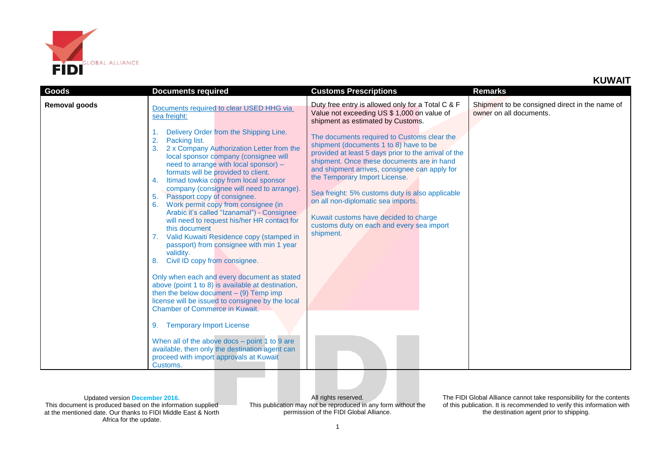

| Goods         | <b>Documents required</b>                                                                                                                                                                                                                                                                                                                                                                                                                                                                                                   | <b>Customs Prescriptions</b>                                                                                                                                                                                                                                                                                                                                                                                                                                                                                                                             | <b>Remarks</b>                                                            |
|---------------|-----------------------------------------------------------------------------------------------------------------------------------------------------------------------------------------------------------------------------------------------------------------------------------------------------------------------------------------------------------------------------------------------------------------------------------------------------------------------------------------------------------------------------|----------------------------------------------------------------------------------------------------------------------------------------------------------------------------------------------------------------------------------------------------------------------------------------------------------------------------------------------------------------------------------------------------------------------------------------------------------------------------------------------------------------------------------------------------------|---------------------------------------------------------------------------|
| Removal goods | Documents required to clear USED HHG via<br>sea freight:<br>Delivery Order from the Shipping Line.<br>2.<br>Packing list.<br>2 x Company Authorization Letter from the<br>local sponsor company (consignee will<br>need to arrange with local sponsor) -<br>formats will be provided to client.<br>Itimad towkia copy from local sponsor<br>4.<br>company (consignee will need to arrange).<br>Passport copy of consignee.<br>5.<br>Work permit copy from consignee (in<br>6.<br>Arabic it's called "Izanamal") - Consignee | Duty free entry is allowed only for a Total C & F<br>Value not exceeding US \$ 1,000 on value of<br>shipment as estimated by Customs.<br>The documents required to Customs clear the<br>shipment (documents 1 to 8) have to be<br>provided at least 5 days prior to the arrival of the<br>shipment. Once these documents are in hand<br>and shipment arrives, consignee can apply for<br>the Temporary Import License.<br>Sea freight: 5% customs duty is also applicable<br>on all non-diplomatic sea imports.<br>Kuwait customs have decided to charge | Shipment to be consigned direct in the name of<br>owner on all documents. |
|               | will need to request his/her HR contact for<br>this document<br>Valid Kuwaiti Residence copy (stamped in<br>passport) from consignee with min 1 year<br>validity.<br>Civil ID copy from consignee.<br>8.                                                                                                                                                                                                                                                                                                                    | customs duty on each and every sea import<br>shipment.                                                                                                                                                                                                                                                                                                                                                                                                                                                                                                   |                                                                           |
|               | Only when each and every document as stated<br>above (point 1 to 8) is available at destination,<br>then the below document $-$ (9) Temp imp<br>license will be issued to consignee by the local<br><b>Chamber of Commerce in Kuwait.</b>                                                                                                                                                                                                                                                                                   |                                                                                                                                                                                                                                                                                                                                                                                                                                                                                                                                                          |                                                                           |
|               | <b>Temporary Import License</b><br>9.                                                                                                                                                                                                                                                                                                                                                                                                                                                                                       |                                                                                                                                                                                                                                                                                                                                                                                                                                                                                                                                                          |                                                                           |
|               | When all of the above docs $-$ point 1 to 9 are<br>available, then only the destination agent can<br>proceed with import approvals at Kuwait<br>Customs.                                                                                                                                                                                                                                                                                                                                                                    |                                                                                                                                                                                                                                                                                                                                                                                                                                                                                                                                                          |                                                                           |

Updated version **December 2016.** This document is produced based on the information supplied at the mentioned date. Our thanks to FIDI Middle East & North Africa for the update.

All rights reserved. This publication may not be reproduced in any form without the permission of the FIDI Global Alliance.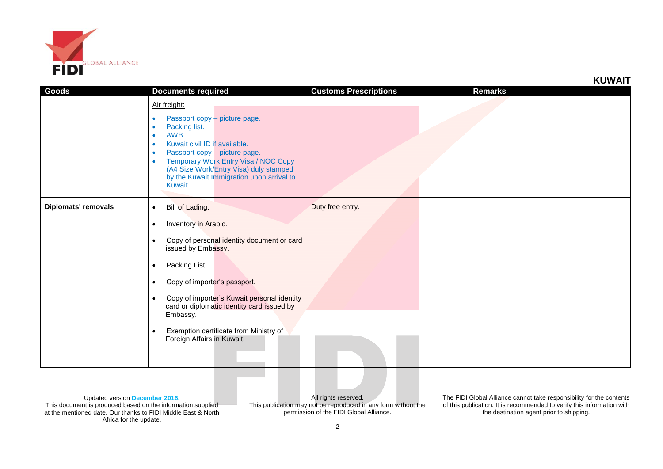

**KUWAIT**

| Goods                      | <b>Documents required</b>                                                                                                                                                                                                                                                                                                                | <b>Customs Prescriptions</b> | Remarks |
|----------------------------|------------------------------------------------------------------------------------------------------------------------------------------------------------------------------------------------------------------------------------------------------------------------------------------------------------------------------------------|------------------------------|---------|
|                            | Air freight:<br>Passport copy - picture page.<br>٠<br>Packing list.<br>٠<br>AWB.<br>٠<br>Kuwait civil ID if available.<br>$\bullet$<br>Passport copy - picture page.<br>$\bullet$<br>Temporary Work Entry Visa / NOC Copy<br>$\bullet$<br>(A4 Size Work/Entry Visa) duly stamped<br>by the Kuwait Immigration upon arrival to<br>Kuwait. |                              |         |
| <b>Diplomats' removals</b> | Bill of Lading.<br>$\bullet$                                                                                                                                                                                                                                                                                                             | Duty free entry.             |         |
|                            | Inventory in Arabic.<br>$\bullet$                                                                                                                                                                                                                                                                                                        |                              |         |
|                            | Copy of personal identity document or card<br>$\bullet$<br>issued by Embassy.                                                                                                                                                                                                                                                            |                              |         |
|                            | Packing List.<br>$\bullet$                                                                                                                                                                                                                                                                                                               |                              |         |
|                            | Copy of importer's passport.<br>$\bullet$                                                                                                                                                                                                                                                                                                |                              |         |
|                            | Copy of importer's Kuwait personal identity<br>$\bullet$<br>card or diplomatic identity card issued by<br>Embassy.                                                                                                                                                                                                                       |                              |         |
|                            | Exemption certificate from Ministry of<br>$\bullet$<br>Foreign Affairs in Kuwait.                                                                                                                                                                                                                                                        |                              |         |

Updated version **December 2016.** This document is produced based on the information supplied at the mentioned date. Our thanks to FIDI Middle East & North Africa for the update.

All rights reserved. This publication may not be reproduced in any form without the permission of the FIDI Global Alliance.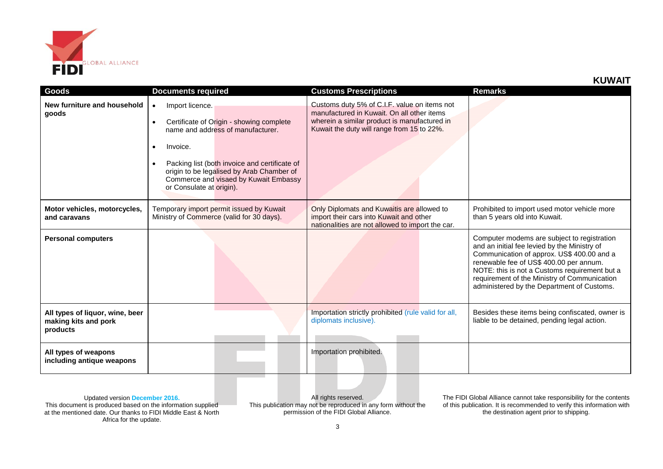

| KUWAIT |  |
|--------|--|
|--------|--|

| Goods                                                               | <b>Documents required</b>                                                                                                                                                                                                                                                                                              | <b>Customs Prescriptions</b>                                                                                                                                                             | <b>Remarks</b>                                                                                                                                                                                                                                                                                                                      |
|---------------------------------------------------------------------|------------------------------------------------------------------------------------------------------------------------------------------------------------------------------------------------------------------------------------------------------------------------------------------------------------------------|------------------------------------------------------------------------------------------------------------------------------------------------------------------------------------------|-------------------------------------------------------------------------------------------------------------------------------------------------------------------------------------------------------------------------------------------------------------------------------------------------------------------------------------|
| New furniture and household<br>goods                                | Import licence.<br>$\bullet$<br>Certificate of Origin - showing complete<br>$\bullet$<br>name and address of manufacturer.<br>Invoice.<br>$\bullet$<br>Packing list (both invoice and certificate of<br>origin to be legalised by Arab Chamber of<br>Commerce and visaed by Kuwait Embassy<br>or Consulate at origin). | Customs duty 5% of C.I.F. value on items not<br>manufactured in Kuwait. On all other items<br>wherein a similar product is manufactured in<br>Kuwait the duty will range from 15 to 22%. |                                                                                                                                                                                                                                                                                                                                     |
| Motor vehicles, motorcycles,<br>and caravans                        | Temporary import permit issued by Kuwait<br>Ministry of Commerce (valid for 30 days).                                                                                                                                                                                                                                  | Only Diplomats and Kuwaitis are allowed to<br>import their cars into Kuwait and other<br>nationalities are not allowed to import the car.                                                | Prohibited to import used motor vehicle more<br>than 5 years old into Kuwait.                                                                                                                                                                                                                                                       |
| <b>Personal computers</b>                                           |                                                                                                                                                                                                                                                                                                                        |                                                                                                                                                                                          | Computer modems are subject to registration<br>and an initial fee levied by the Ministry of<br>Communication of approx. US\$ 400.00 and a<br>renewable fee of US\$ 400.00 per annum.<br>NOTE: this is not a Customs requirement but a<br>requirement of the Ministry of Communication<br>administered by the Department of Customs. |
| All types of liquor, wine, beer<br>making kits and pork<br>products |                                                                                                                                                                                                                                                                                                                        | Importation strictly prohibited (rule valid for all,<br>diplomats inclusive).                                                                                                            | Besides these items being confiscated, owner is<br>liable to be detained, pending legal action.                                                                                                                                                                                                                                     |
| All types of weapons<br>including antique weapons                   |                                                                                                                                                                                                                                                                                                                        | Importation prohibited.                                                                                                                                                                  |                                                                                                                                                                                                                                                                                                                                     |

All rights reserved. This publication may not be reproduced in any form without the permission of the FIDI Global Alliance.